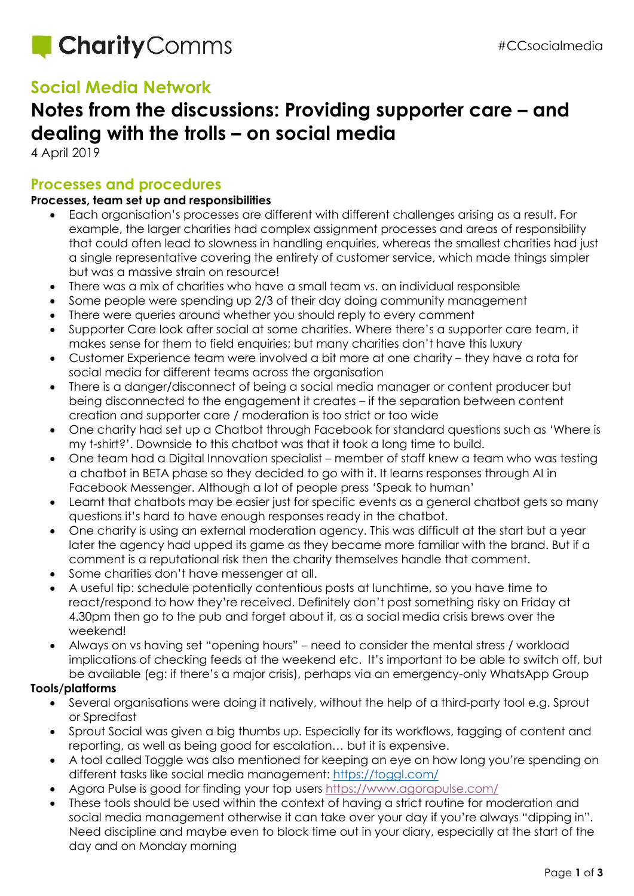

## **Social Media Network**

## **Notes from the discussions: Providing supporter care – and dealing with the trolls – on social media**

4 April 2019

#### **Processes and procedures**

#### **Processes, team set up and responsibilities**

- Each organisation's processes are different with different challenges arising as a result. For example, the larger charities had complex assignment processes and areas of responsibility that could often lead to slowness in handling enquiries, whereas the smallest charities had just a single representative covering the entirety of customer service, which made things simpler but was a massive strain on resource!
- There was a mix of charities who have a small team vs. an individual responsible
- Some people were spending up 2/3 of their day doing community management
- There were queries around whether you should reply to every comment
- Supporter Care look after social at some charities. Where there's a supporter care team, it makes sense for them to field enquiries; but many charities don't have this luxury
- Customer Experience team were involved a bit more at one charity they have a rota for social media for different teams across the organisation
- There is a danger/disconnect of being a social media manager or content producer but being disconnected to the engagement it creates – if the separation between content creation and supporter care / moderation is too strict or too wide
- One charity had set up a Chatbot through Facebook for standard questions such as 'Where is my t-shirt?'. Downside to this chatbot was that it took a long time to build.
- One team had a Digital Innovation specialist member of staff knew a team who was testing a chatbot in BETA phase so they decided to go with it. It learns responses through AI in Facebook Messenger. Although a lot of people press 'Speak to human'
- Learnt that chatbots may be easier just for specific events as a general chatbot gets so many questions it's hard to have enough responses ready in the chatbot.
- One charity is using an external moderation agency. This was difficult at the start but a year later the agency had upped its game as they became more familiar with the brand. But if a comment is a reputational risk then the charity themselves handle that comment.
- Some charities don't have messenger at all.
- A useful tip: schedule potentially contentious posts at lunchtime, so you have time to react/respond to how they're received. Definitely don't post something risky on Friday at 4.30pm then go to the pub and forget about it, as a social media crisis brews over the weekend!
- Always on vs having set "opening hours" need to consider the mental stress / workload implications of checking feeds at the weekend etc. It's important to be able to switch off, but be available (eg: if there's a major crisis), perhaps via an emergency-only WhatsApp Group

#### **Tools/platforms**

- Several organisations were doing it natively, without the help of a third-party tool e.g. Sprout or Spredfast
- Sprout Social was given a big thumbs up. Especially for its workflows, tagging of content and reporting, as well as being good for escalation… but it is expensive.
- A tool called Toggle was also mentioned for keeping an eye on how long you're spending on different tasks like social media management:<https://toggl.com/>
- Agora Pulse is good for finding your top users<https://www.agorapulse.com/>
- These tools should be used within the context of having a strict routine for moderation and social media management otherwise it can take over your day if you're always "dipping in". Need discipline and maybe even to block time out in your diary, especially at the start of the day and on Monday morning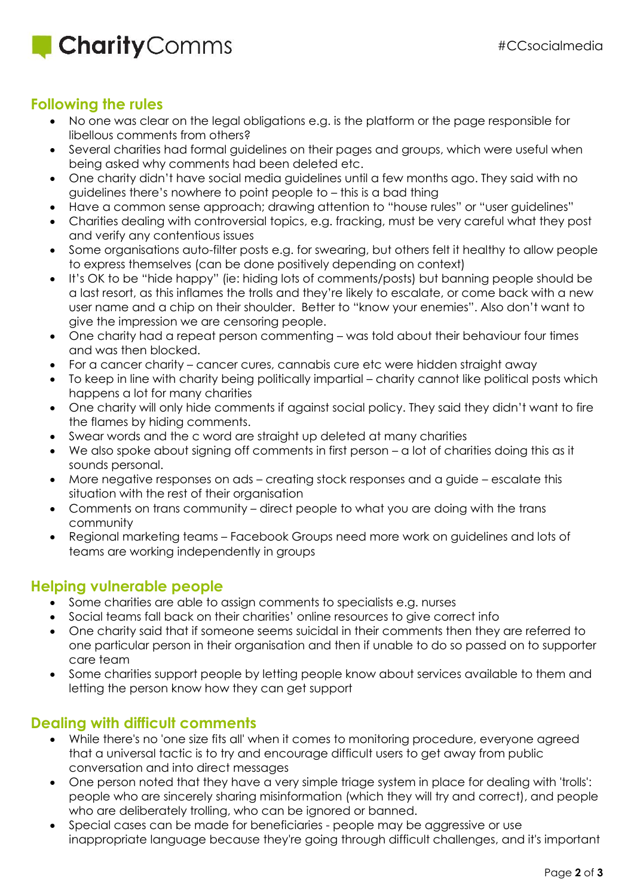## **Charity** Comms

#### **Following the rules**

- No one was clear on the legal obligations e.g. is the platform or the page responsible for libellous comments from others?
- Several charities had formal guidelines on their pages and groups, which were useful when being asked why comments had been deleted etc.
- One charity didn't have social media guidelines until a few months ago. They said with no guidelines there's nowhere to point people to – this is a bad thing
- Have a common sense approach; drawing attention to "house rules" or "user guidelines"
- Charities dealing with controversial topics, e.g. fracking, must be very careful what they post and verify any contentious issues
- Some organisations auto-filter posts e.g. for swearing, but others felt it healthy to allow people to express themselves (can be done positively depending on context)
- It's OK to be "hide happy" (ie: hiding lots of comments/posts) but banning people should be a last resort, as this inflames the trolls and they're likely to escalate, or come back with a new user name and a chip on their shoulder. Better to "know your enemies". Also don't want to give the impression we are censoring people.
- One charity had a repeat person commenting was told about their behaviour four times and was then blocked.
- For a cancer charity cancer cures, cannabis cure etc were hidden straight away
- To keep in line with charity being politically impartial charity cannot like political posts which happens a lot for many charities
- One charity will only hide comments if against social policy. They said they didn't want to fire the flames by hiding comments.
- Swear words and the c word are straight up deleted at many charities
- We also spoke about signing off comments in first person a lot of charities doing this as it sounds personal.
- More negative responses on ads creating stock responses and a guide escalate this situation with the rest of their organisation
- Comments on trans community direct people to what you are doing with the trans community
- Regional marketing teams Facebook Groups need more work on guidelines and lots of teams are working independently in groups

### **Helping vulnerable people**

- Some charities are able to assign comments to specialists e.g. nurses
- Social teams fall back on their charities' online resources to give correct info
- One charity said that if someone seems suicidal in their comments then they are referred to one particular person in their organisation and then if unable to do so passed on to supporter care team
- Some charities support people by letting people know about services available to them and letting the person know how they can get support

### **Dealing with difficult comments**

- While there's no 'one size fits all' when it comes to monitoring procedure, everyone agreed that a universal tactic is to try and encourage difficult users to get away from public conversation and into direct messages
- One person noted that they have a very simple triage system in place for dealing with 'trolls': people who are sincerely sharing misinformation (which they will try and correct), and people who are deliberately trolling, who can be ignored or banned.
- Special cases can be made for beneficiaries people may be aggressive or use inappropriate language because they're going through difficult challenges, and it's important